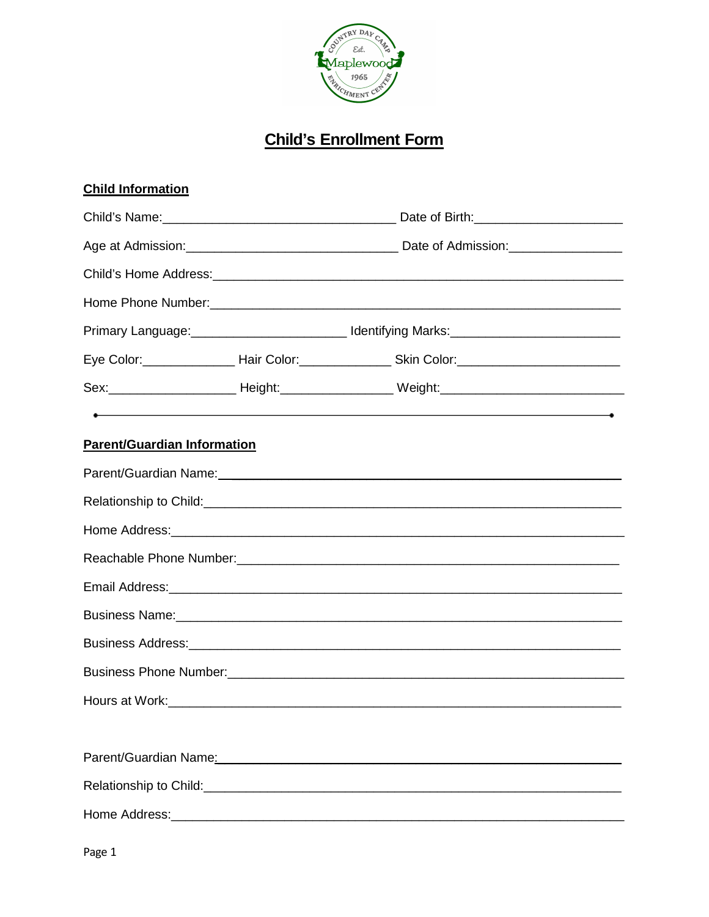

# **Child's Enrollment Form**

| <b>Child Information</b>           |                                                                                                                                                                                                                                    |  |
|------------------------------------|------------------------------------------------------------------------------------------------------------------------------------------------------------------------------------------------------------------------------------|--|
|                                    |                                                                                                                                                                                                                                    |  |
|                                    |                                                                                                                                                                                                                                    |  |
|                                    |                                                                                                                                                                                                                                    |  |
|                                    |                                                                                                                                                                                                                                    |  |
|                                    | Primary Language: ____________________________Identifying Marks: ___________________________________                                                                                                                               |  |
|                                    | Eye Color: _____________________Hair Color: ______________________Skin Color: ___________________________                                                                                                                          |  |
|                                    | Sex:___________________________Height:_______________________Weight:________________________________                                                                                                                               |  |
|                                    | $\bullet$ . The contract of the contract of the contract of the contract of the contract of the contract of the contract of the contract of the contract of the contract of the contract of the contract of the contract of the co |  |
| <b>Parent/Guardian Information</b> |                                                                                                                                                                                                                                    |  |
|                                    |                                                                                                                                                                                                                                    |  |
|                                    |                                                                                                                                                                                                                                    |  |
|                                    |                                                                                                                                                                                                                                    |  |
|                                    |                                                                                                                                                                                                                                    |  |
|                                    |                                                                                                                                                                                                                                    |  |
|                                    | Business Name: 2008 Communication of the Sun of the Sun of the Sun of the Sun of the Sun of the Sun of the Sun of the Sun of the Sun of the Sun of the Sun of the Sun of the Sun of the Sun of the Sun of the Sun of the Sun o     |  |
|                                    |                                                                                                                                                                                                                                    |  |
|                                    |                                                                                                                                                                                                                                    |  |
|                                    |                                                                                                                                                                                                                                    |  |
|                                    |                                                                                                                                                                                                                                    |  |
|                                    | Parent/Guardian Name: 2008 2009 2010 2020 2021 2022 2023 2024 2022 2023 2024 2022 2023 2024 2022 2023 2024 20                                                                                                                      |  |
|                                    |                                                                                                                                                                                                                                    |  |
|                                    |                                                                                                                                                                                                                                    |  |

Page 1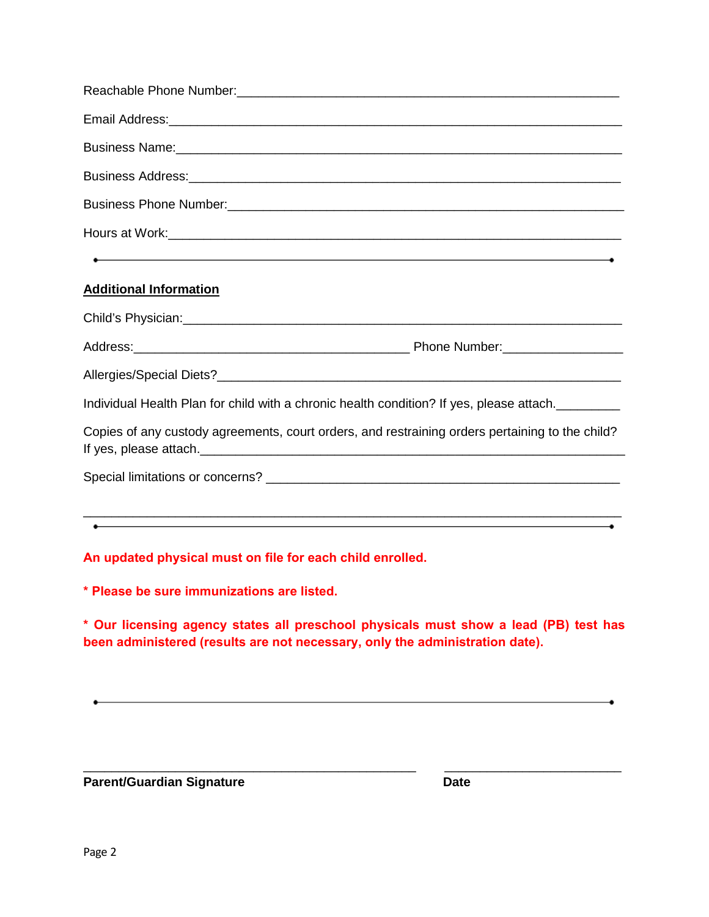| Business Name: 2008 Communication of the Communication of the Communication of the Communication of the Communication of the Communication of the Communication of the Communication of the Communication of the Communication       |  |
|--------------------------------------------------------------------------------------------------------------------------------------------------------------------------------------------------------------------------------------|--|
|                                                                                                                                                                                                                                      |  |
| Business Phone Number: 2008 Communication of the Superior Communication of the Superior Communication of the S                                                                                                                       |  |
|                                                                                                                                                                                                                                      |  |
| $\bullet$ . The contract of the contract of the contract of the contract of the contract of the contract of the contract of the contract of the contract of the contract of the contract of the contract of the contract of the co   |  |
| <b>Additional Information</b>                                                                                                                                                                                                        |  |
|                                                                                                                                                                                                                                      |  |
|                                                                                                                                                                                                                                      |  |
|                                                                                                                                                                                                                                      |  |
| Individual Health Plan for child with a chronic health condition? If yes, please attach.                                                                                                                                             |  |
| Copies of any custody agreements, court orders, and restraining orders pertaining to the child?                                                                                                                                      |  |
|                                                                                                                                                                                                                                      |  |
|                                                                                                                                                                                                                                      |  |
| <u>. In the second contract of the second contract of the second contract of the second contract of the second contract of the second contract of the second contract of the second contract of the second contract of the secon</u> |  |
| An updated physical must on file for each child enrolled.                                                                                                                                                                            |  |
| * Please be sure immunizations are listed.                                                                                                                                                                                           |  |
| * Our licensing agency states all preschool physicals must show a lead (PB) test has<br>been administered (results are not necessary, only the administration date).                                                                 |  |
|                                                                                                                                                                                                                                      |  |
|                                                                                                                                                                                                                                      |  |
|                                                                                                                                                                                                                                      |  |

\_\_\_\_\_\_\_\_\_\_\_\_\_\_\_\_\_\_\_\_\_\_\_\_\_\_\_\_\_\_\_\_\_\_\_\_\_\_\_\_\_\_\_\_\_\_\_ \_\_\_\_\_\_\_\_\_\_\_\_\_\_\_\_\_\_\_\_\_\_\_\_\_

**Parent/Guardian Signature Date**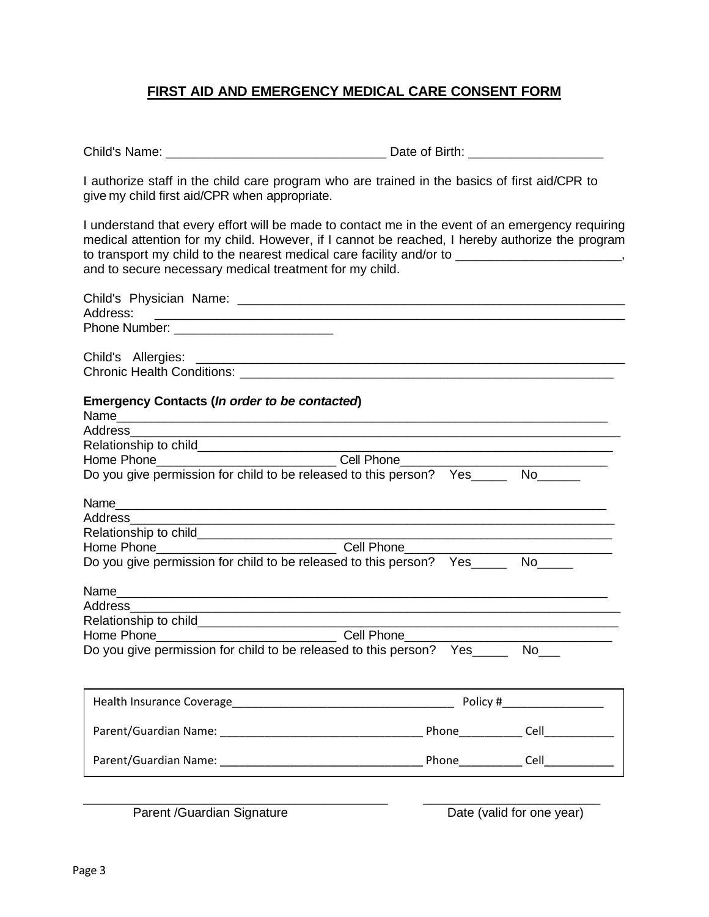### **FIRST AID AND EMERGENCY MEDICAL CARE CONSENT FORM**

Child's Name: \_\_\_\_\_\_\_\_\_\_\_\_\_\_\_\_\_\_\_\_\_\_\_\_\_\_\_\_\_\_\_ Date of Birth: \_\_\_\_\_\_\_\_\_\_\_\_\_\_\_\_\_\_\_

I authorize staff in the child care program who are trained in the basics of first aid/CPR to give my child first aid/CPR when appropriate.

I understand that every effort will be made to contact me in the event of an emergency requiring medical attention for my child. However, if I cannot be reached, I hereby authorize the program to transport my child to the nearest medical care facility and/or to \_\_\_\_\_\_\_\_\_\_\_\_\_\_\_\_\_\_\_\_\_\_, and to secure necessary medical treatment for my child.

| Address:                                                                                                                                  |                                                 |
|-------------------------------------------------------------------------------------------------------------------------------------------|-------------------------------------------------|
|                                                                                                                                           |                                                 |
|                                                                                                                                           |                                                 |
|                                                                                                                                           |                                                 |
| <b>Emergency Contacts (In order to be contacted)</b>                                                                                      |                                                 |
|                                                                                                                                           |                                                 |
| Address _________<br><u> 1989 - Johann John Stone, markin amerikan bestema dalam penyanyi dan bestema dalam pengaran bestema dalam pe</u> |                                                 |
|                                                                                                                                           |                                                 |
| Home Phone_______________________________Cell Phone_____________________________                                                          |                                                 |
| Do you give permission for child to be released to this person?  Yes_______ No______                                                      |                                                 |
|                                                                                                                                           |                                                 |
|                                                                                                                                           |                                                 |
|                                                                                                                                           | <u> 1989 - Johann John Stone, mars et al. (</u> |
|                                                                                                                                           |                                                 |
| Do you give permission for child to be released to this person? Yes______ No_____                                                         |                                                 |
|                                                                                                                                           |                                                 |
|                                                                                                                                           |                                                 |
|                                                                                                                                           |                                                 |
| Home Phone__________________________________Cell Phone___________________________                                                         |                                                 |
| Do you give permission for child to be released to this person? Yes______ No___                                                           |                                                 |
|                                                                                                                                           |                                                 |
|                                                                                                                                           |                                                 |
|                                                                                                                                           |                                                 |
|                                                                                                                                           |                                                 |

Parent /Guardian Signature Date (valid for one year)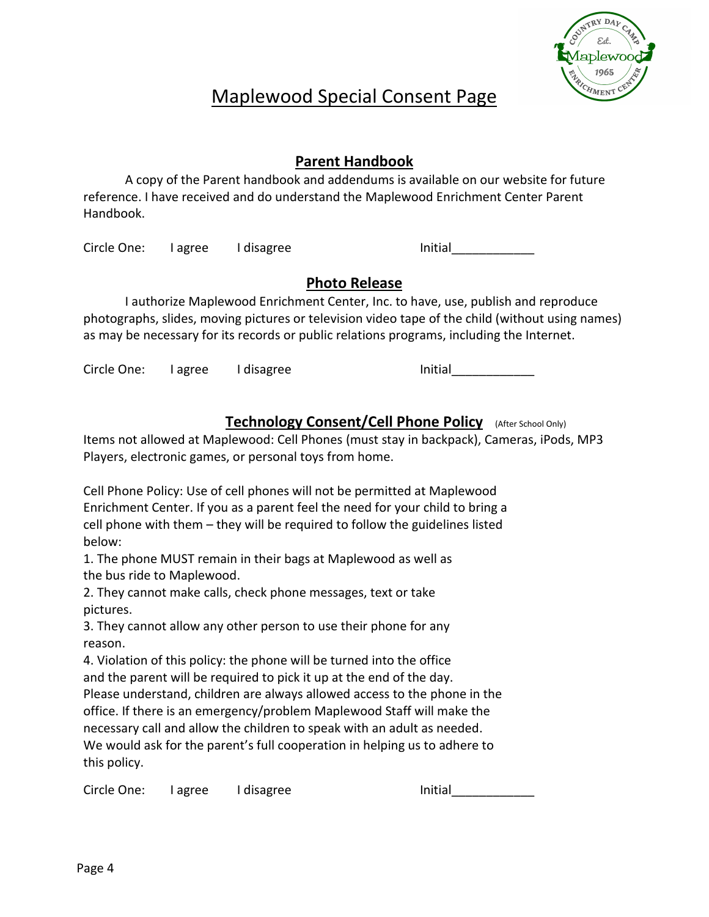

# Maplewood Special Consent Page

# **Parent Handbook**

A copy of the Parent handbook and addendums is available on our website for future reference. I have received and do understand the Maplewood Enrichment Center Parent Handbook.

Circle One: Lagree Lidisagree Initial

# **Photo Release**

I authorize Maplewood Enrichment Center, Inc. to have, use, publish and reproduce photographs, slides, moving pictures or television video tape of the child (without using names) as may be necessary for its records or public relations programs, including the Internet.

Circle One: I agree I disagree I communication of the Initial

**Technology Consent/Cell Phone Policy** (After School Only)

Items not allowed at Maplewood: Cell Phones (must stay in backpack), Cameras, iPods, MP3 Players, electronic games, or personal toys from home.

Cell Phone Policy: Use of cell phones will not be permitted at Maplewood Enrichment Center. If you as a parent feel the need for your child to bring a cell phone with them – they will be required to follow the guidelines listed below:

1. The phone MUST remain in their bags at Maplewood as well as the bus ride to Maplewood.

2. They cannot make calls, check phone messages, text or take pictures.

3. They cannot allow any other person to use their phone for any reason.

4. Violation of this policy: the phone will be turned into the office and the parent will be required to pick it up at the end of the day.

Please understand, children are always allowed access to the phone in the office. If there is an emergency/problem Maplewood Staff will make the necessary call and allow the children to speak with an adult as needed. We would ask for the parent's full cooperation in helping us to adhere to this policy.

Circle One: I agree I disagree I communication of the Initial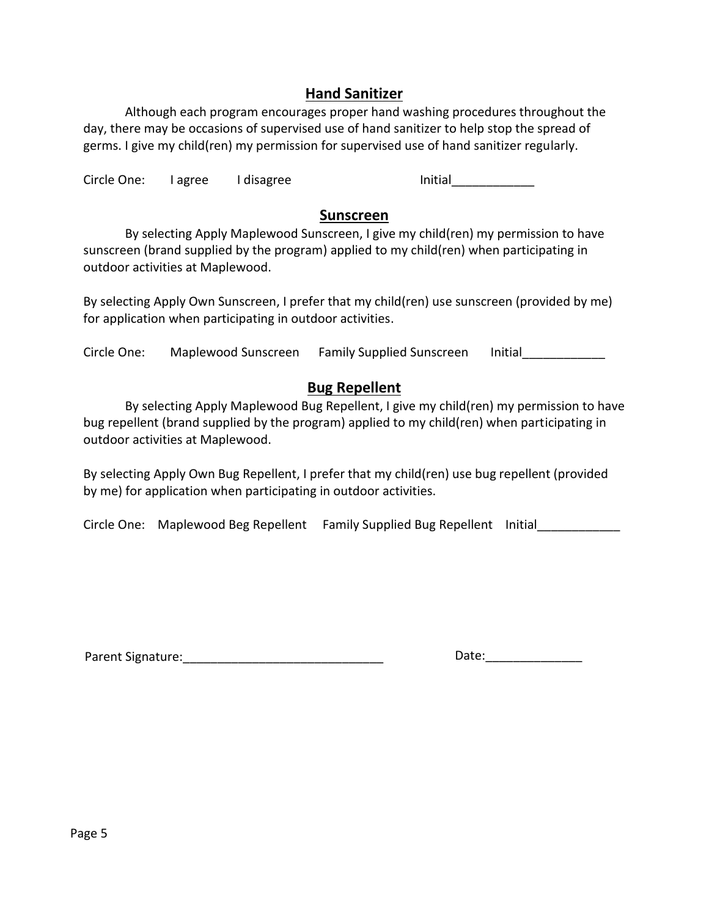## **Hand Sanitizer**

Although each program encourages proper hand washing procedures throughout the day, there may be occasions of supervised use of hand sanitizer to help stop the spread of germs. I give my child(ren) my permission for supervised use of hand sanitizer regularly.

Circle One: I agree I disagree I contained a limitial

### **Sunscreen**

By selecting Apply Maplewood Sunscreen, I give my child(ren) my permission to have sunscreen (brand supplied by the program) applied to my child(ren) when participating in outdoor activities at Maplewood.

By selecting Apply Own Sunscreen, I prefer that my child(ren) use sunscreen (provided by me) for application when participating in outdoor activities.

Circle One: Maplewood Sunscreen Family Supplied Sunscreen Initial

## **Bug Repellent**

By selecting Apply Maplewood Bug Repellent, I give my child(ren) my permission to have bug repellent (brand supplied by the program) applied to my child(ren) when participating in outdoor activities at Maplewood.

By selecting Apply Own Bug Repellent, I prefer that my child(ren) use bug repellent (provided by me) for application when participating in outdoor activities.

Circle One: Maplewood Beg Repellent Family Supplied Bug Repellent Initial

Parent Signature:\_\_\_\_\_\_\_\_\_\_\_\_\_\_\_\_\_\_\_\_\_\_\_\_\_\_\_\_\_ Date:\_\_\_\_\_\_\_\_\_\_\_\_\_\_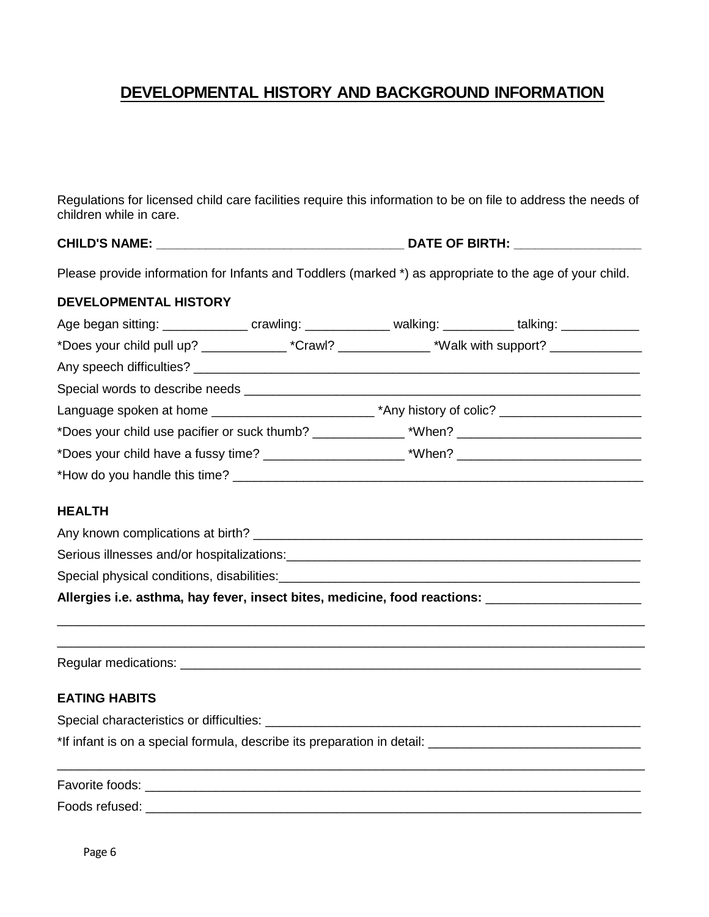# **DEVELOPMENTAL HISTORY AND BACKGROUND INFORMATION**

Regulations for licensed child care facilities require this information to be on file to address the needs of children while in care.

# **CHILD'S NAME: \_\_\_\_\_\_\_\_\_\_\_\_\_\_\_\_\_\_\_\_\_\_\_\_\_\_\_\_\_\_\_\_\_\_\_ DATE OF BIRTH: \_\_\_\_\_\_\_\_\_\_\_\_\_\_\_\_\_\_**

Please provide information for Infants and Toddlers (marked \*) as appropriate to the age of your child.

#### **DEVELOPMENTAL HISTORY**

| Age began sitting: ________________ crawling: ______________ walking: ___________ talking: _____________ |  |  |
|----------------------------------------------------------------------------------------------------------|--|--|
| *Does your child pull up? ________________*Crawl? _______________*Walk with support? _______________     |  |  |
|                                                                                                          |  |  |
|                                                                                                          |  |  |
|                                                                                                          |  |  |
| *Does your child use pacifier or suck thumb? ___________________________________                         |  |  |
|                                                                                                          |  |  |
| *How do you handle this time?                                                                            |  |  |
|                                                                                                          |  |  |

### **HEALTH**

| Allergies i.e. asthma, hay fever, insect bites, medicine, food reactions: |
|---------------------------------------------------------------------------|
| Special physical conditions, disabilities:                                |
| Serious illnesses and/or hospitalizations:                                |
| Any known complications at birth?                                         |

\_\_\_\_\_\_\_\_\_\_\_\_\_\_\_\_\_\_\_\_\_\_\_\_\_\_\_\_\_\_\_\_\_\_\_\_\_\_\_\_\_\_\_\_\_\_\_\_\_\_\_\_\_\_\_\_\_\_\_\_\_\_\_\_\_\_\_\_\_\_\_\_\_\_\_\_\_\_\_\_\_\_\_ \_\_\_\_\_\_\_\_\_\_\_\_\_\_\_\_\_\_\_\_\_\_\_\_\_\_\_\_\_\_\_\_\_\_\_\_\_\_\_\_\_\_\_\_\_\_\_\_\_\_\_\_\_\_\_\_\_\_\_\_\_\_\_\_\_\_\_\_\_\_\_\_\_\_\_\_\_\_\_\_\_\_\_

Regular medications: \_\_\_\_\_\_\_\_\_\_\_\_\_\_\_\_\_\_\_\_\_\_\_\_\_\_\_\_\_\_\_\_\_\_\_\_\_\_\_\_\_\_\_\_\_\_\_\_\_\_\_\_\_\_\_\_\_\_\_\_\_\_\_\_\_

#### **EATING HABITS**

Special characteristics or difficulties: \_\_\_\_\_\_\_\_\_\_\_\_\_\_\_\_\_\_\_\_\_\_\_\_\_\_\_\_\_\_\_\_\_\_\_\_\_\_\_\_\_\_\_\_\_\_\_\_\_\_\_\_\_

\*If infant is on a special formula, describe its preparation in detail: \_\_\_\_\_\_\_\_\_\_\_\_\_\_\_\_\_\_\_\_\_\_\_\_\_\_\_\_\_\_

Favorite foods: \_\_\_\_\_\_\_\_\_\_\_\_\_\_\_\_\_\_\_\_\_\_\_\_\_\_\_\_\_\_\_\_\_\_\_\_\_\_\_\_\_\_\_\_\_\_\_\_\_\_\_\_\_\_\_\_\_\_\_\_\_\_\_\_\_\_\_\_\_\_ Foods refused: \_\_\_\_\_\_\_\_\_\_\_\_\_\_\_\_\_\_\_\_\_\_\_\_\_\_\_\_\_\_\_\_\_\_\_\_\_\_\_\_\_\_\_\_\_\_\_\_\_\_\_\_\_\_\_\_\_\_\_\_\_\_\_\_\_\_\_\_\_\_

\_\_\_\_\_\_\_\_\_\_\_\_\_\_\_\_\_\_\_\_\_\_\_\_\_\_\_\_\_\_\_\_\_\_\_\_\_\_\_\_\_\_\_\_\_\_\_\_\_\_\_\_\_\_\_\_\_\_\_\_\_\_\_\_\_\_\_\_\_\_\_\_\_\_\_\_\_\_\_\_\_\_\_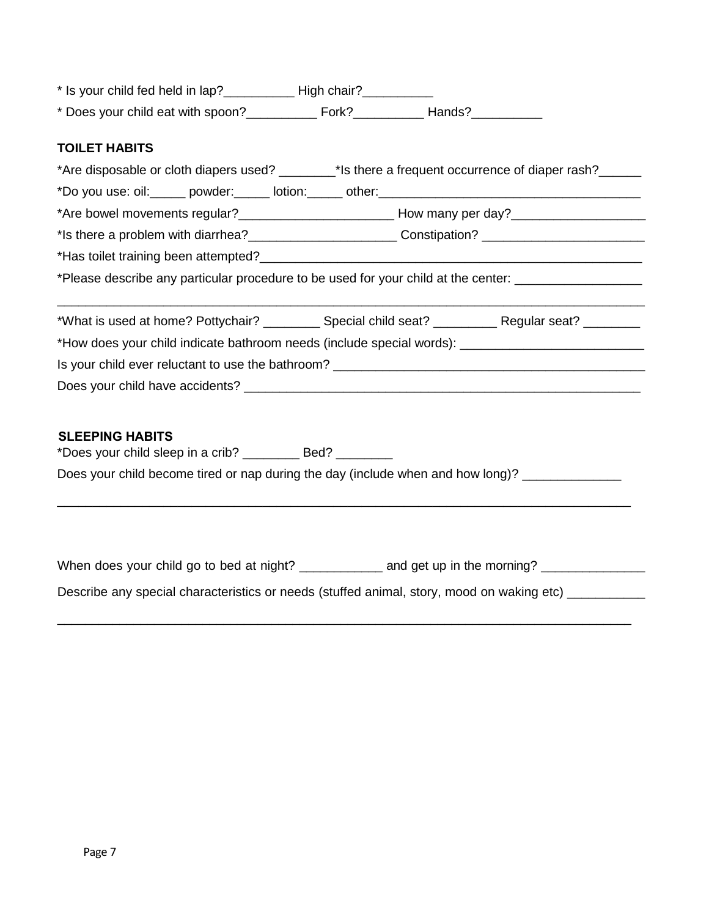| * Is your child fed held in lap?<br>High chair? |  |
|-------------------------------------------------|--|
|-------------------------------------------------|--|

\* Does your child eat with spoon?\_\_\_\_\_\_\_\_\_\_ Fork?\_\_\_\_\_\_\_\_\_\_ Hands?\_\_\_\_\_\_\_\_\_\_

### **TOILET HABITS**

| *Are disposable or cloth diapers used? _______*Is there a frequent occurrence of diaper rash?                 |  |  |  |
|---------------------------------------------------------------------------------------------------------------|--|--|--|
|                                                                                                               |  |  |  |
|                                                                                                               |  |  |  |
| *Is there a problem with diarrhea?_____________________________Constipation?______________________________    |  |  |  |
|                                                                                                               |  |  |  |
| *Please describe any particular procedure to be used for your child at the center: __________________________ |  |  |  |
| *What is used at home? Pottychair? ___________ Special child seat? __________ Regular seat? ________          |  |  |  |
|                                                                                                               |  |  |  |
|                                                                                                               |  |  |  |
|                                                                                                               |  |  |  |
|                                                                                                               |  |  |  |
| <b>SLEEPING HABITS</b><br>*Does your child sleep in a crib? ___________ Bed? _________                        |  |  |  |
| Does your child become tired or nap during the day (include when and how long)? __________________            |  |  |  |
|                                                                                                               |  |  |  |
|                                                                                                               |  |  |  |

When does your child go to bed at night? \_\_\_\_\_\_\_\_\_\_\_\_\_ and get up in the morning? \_\_\_\_\_\_\_\_\_\_\_\_\_\_\_\_\_

Describe any special characteristics or needs (stuffed animal, story, mood on waking etc) \_\_\_\_\_\_\_\_\_

\_\_\_\_\_\_\_\_\_\_\_\_\_\_\_\_\_\_\_\_\_\_\_\_\_\_\_\_\_\_\_\_\_\_\_\_\_\_\_\_\_\_\_\_\_\_\_\_\_\_\_\_\_\_\_\_\_\_\_\_\_\_\_\_\_\_\_\_\_\_\_\_\_\_\_\_\_\_\_\_\_\_\_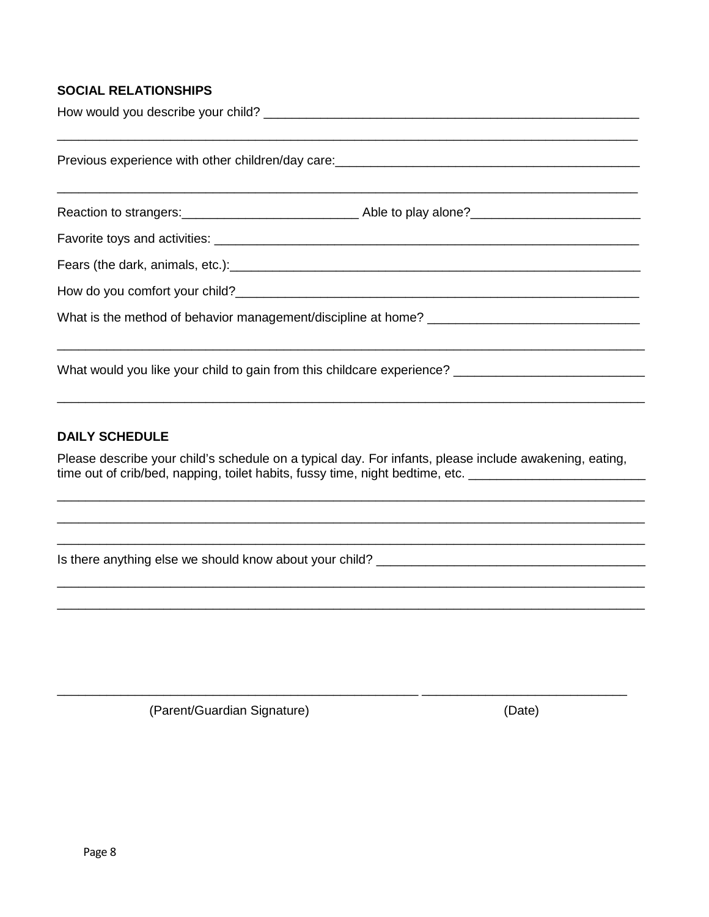### **SOCIAL RELATIONSHIPS**

| Previous experience with other children/day care:<br><u>Frevious</u> experience with other children/day care: |  |
|---------------------------------------------------------------------------------------------------------------|--|
|                                                                                                               |  |
|                                                                                                               |  |
|                                                                                                               |  |
|                                                                                                               |  |
|                                                                                                               |  |
| What would you like your child to gain from this childcare experience?                                        |  |

#### **DAILY SCHEDULE**

Please describe your child's schedule on a typical day. For infants, please include awakening, eating, time out of crib/bed, napping, toilet habits, fussy time, night bedtime, etc. \_\_\_\_\_\_\_\_\_\_\_\_\_\_\_\_\_\_\_\_\_\_\_\_\_\_\_\_\_\_\_\_

(Parent/Guardian Signature)

(Date)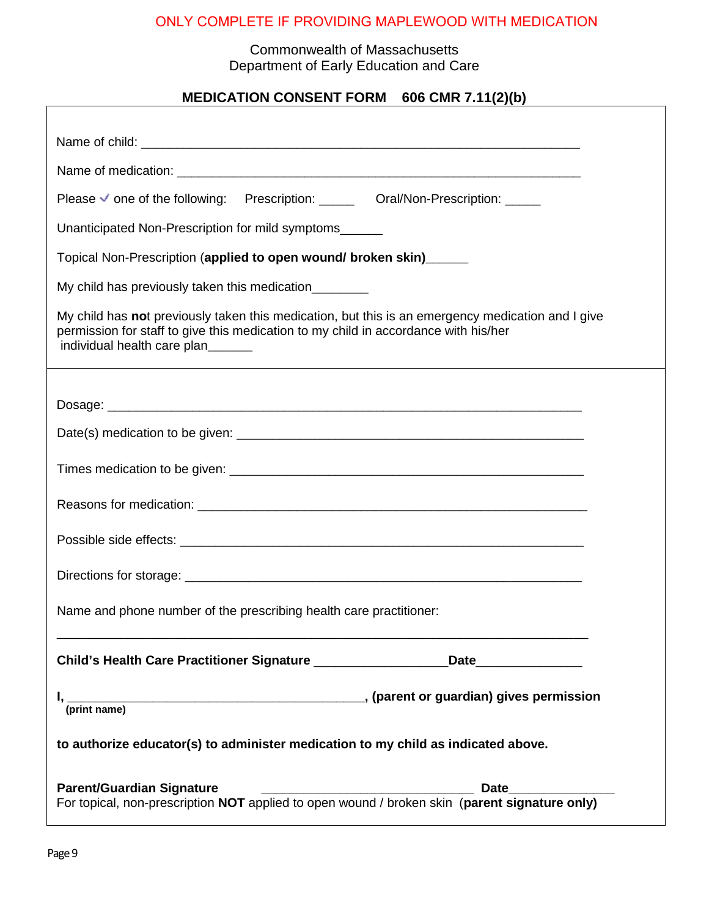# ONLY COMPLETE IF PROVIDING MAPLEWOOD WITH MEDICATION

### Commonwealth of Massachusetts Department of Early Education and Care

# **MEDICATION CONSENT FORM 606 CMR 7.11(2)(b)**

| Please v one of the following: Prescription: _______ Oral/Non-Prescription: _____                                                                                                                                       |
|-------------------------------------------------------------------------------------------------------------------------------------------------------------------------------------------------------------------------|
| Unanticipated Non-Prescription for mild symptoms______                                                                                                                                                                  |
| Topical Non-Prescription (applied to open wound/ broken skin)______                                                                                                                                                     |
| My child has previously taken this medication_________                                                                                                                                                                  |
| My child has not previously taken this medication, but this is an emergency medication and I give<br>permission for staff to give this medication to my child in accordance with his/her<br>individual health care plan |
|                                                                                                                                                                                                                         |
|                                                                                                                                                                                                                         |
|                                                                                                                                                                                                                         |
|                                                                                                                                                                                                                         |
|                                                                                                                                                                                                                         |
|                                                                                                                                                                                                                         |
|                                                                                                                                                                                                                         |
| Name and phone number of the prescribing health care practitioner:                                                                                                                                                      |
| Child's Health Care Practitioner Signature ______________________Date____________                                                                                                                                       |
| I, (parent or guardian) gives permission (print name)                                                                                                                                                                   |
| to authorize educator(s) to administer medication to my child as indicated above.                                                                                                                                       |
| <b>Parent/Guardian Signature</b>                                                                                                                                                                                        |
|                                                                                                                                                                                                                         |